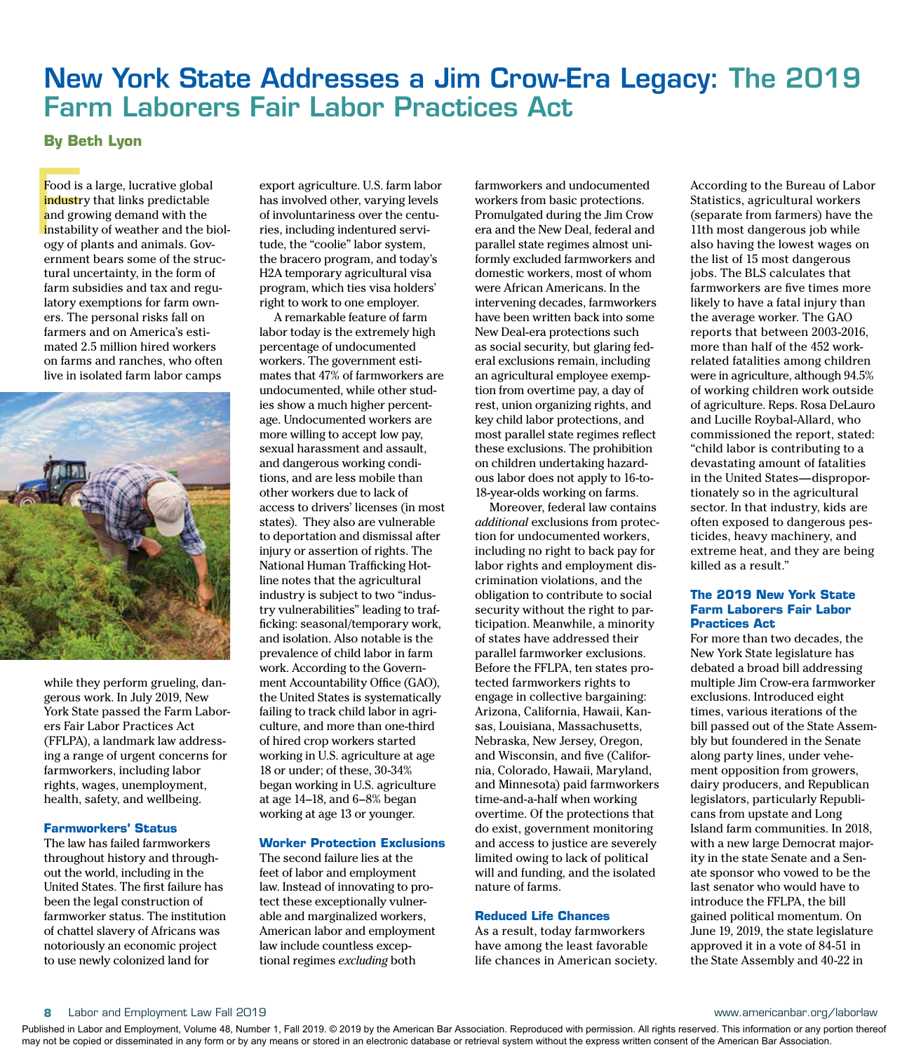# New York State Addresses a Jim Crow-Era Legacy: The 2019 Farm Laborers Fair Labor Practices Act

## **By Beth Lyon**

Food is<br>industr<br>and gro<br>instabil<br>ogy of j Food is a large, lucrative global industry that links predictable and growing demand with the instability of weather and the biology of plants and animals. Government bears some of the structural uncertainty, in the form of farm subsidies and tax and regulatory exemptions for farm owners. The personal risks fall on farmers and on America's estimated 2.5 million hired workers on farms and ranches, who often live in isolated farm labor camps



while they perform grueling, dangerous work. In July 2019, New York State passed the Farm Laborers Fair Labor Practices Act (FFLPA), a landmark law addressing a range of urgent concerns for farmworkers, including labor rights, wages, unemployment, health, safety, and wellbeing.

## **Farmworkers' Status**

The law has failed farmworkers throughout history and throughout the world, including in the United States. The first failure has been the legal construction of farmworker status. The institution of chattel slavery of Africans was notoriously an economic project to use newly colonized land for

export agriculture. U.S. farm labor has involved other, varying levels of involuntariness over the centuries, including indentured servitude, the "coolie" labor system, the bracero program, and today's H2A temporary agricultural visa program, which ties visa holders' right to work to one employer.

A remarkable feature of farm labor today is the extremely high percentage of undocumented workers. The government estimates that 47% of farmworkers are undocumented, while other studies show a much higher percentage. Undocumented workers are more willing to accept low pay, sexual harassment and assault, and dangerous working conditions, and are less mobile than other workers due to lack of access to drivers' licenses (in most states). They also are vulnerable to deportation and dismissal after injury or assertion of rights. The National Human Trafficking Hotline notes that the agricultural industry is subject to two "industry vulnerabilities" leading to trafficking: seasonal/temporary work, and isolation. Also notable is the prevalence of child labor in farm work. According to the Government Accountability Office (GAO), the United States is systematically failing to track child labor in agriculture, and more than one-third of hired crop workers started working in U.S. agriculture at age 18 or under; of these, 30-34% began working in U.S. agriculture at age 14–18, and 6–8% began working at age 13 or younger.

## **Worker Protection Exclusions**

The second failure lies at the feet of labor and employment law. Instead of innovating to protect these exceptionally vulnerable and marginalized workers, American labor and employment law include countless exceptional regimes *excluding* both

farmworkers and undocumented workers from basic protections. Promulgated during the Jim Crow era and the New Deal, federal and parallel state regimes almost uniformly excluded farmworkers and domestic workers, most of whom were African Americans. In the intervening decades, farmworkers have been written back into some New Deal-era protections such as social security, but glaring federal exclusions remain, including an agricultural employee exemption from overtime pay, a day of rest, union organizing rights, and key child labor protections, and most parallel state regimes reflect these exclusions. The prohibition on children undertaking hazardous labor does not apply to 16-to-18-year-olds working on farms.

Moreover, federal law contains *additional* exclusions from protection for undocumented workers, including no right to back pay for labor rights and employment discrimination violations, and the obligation to contribute to social security without the right to participation. Meanwhile, a minority of states have addressed their parallel farmworker exclusions. Before the FFLPA, ten states protected farmworkers rights to engage in collective bargaining: Arizona, California, Hawaii, Kansas, Louisiana, Massachusetts, Nebraska, New Jersey, Oregon, and Wisconsin, and five (California, Colorado, Hawaii, Maryland, and Minnesota) paid farmworkers time-and-a-half when working overtime. Of the protections that do exist, government monitoring and access to justice are severely limited owing to lack of political will and funding, and the isolated nature of farms.

### **Reduced Life Chances**

As a result, today farmworkers have among the least favorable life chances in American society. According to the Bureau of Labor Statistics, agricultural workers (separate from farmers) have the 11th most dangerous job while also having the lowest wages on the list of 15 most dangerous jobs. The BLS calculates that farmworkers are five times more likely to have a fatal injury than the average worker. The GAO reports that between 2003-2016, more than half of the 452 workrelated fatalities among children were in agriculture, although 94.5% of working children work outside of agriculture. Reps. Rosa DeLauro and Lucille Roybal-Allard, who commissioned the report, stated: "child labor is contributing to a devastating amount of fatalities in the United States—disproportionately so in the agricultural sector. In that industry, kids are often exposed to dangerous pesticides, heavy machinery, and extreme heat, and they are being killed as a result."

## **The 2019 New York State Farm Laborers Fair Labor Practices Act**

For more than two decades, the New York State legislature has debated a broad bill addressing multiple Jim Crow-era farmworker exclusions. Introduced eight times, various iterations of the bill passed out of the State Assembly but foundered in the Senate along party lines, under vehement opposition from growers, dairy producers, and Republican legislators, particularly Republicans from upstate and Long Island farm communities. In 2018, with a new large Democrat majority in the state Senate and a Senate sponsor who vowed to be the last senator who would have to introduce the FFLPA, the bill gained political momentum. On June 19, 2019, the state legislature approved it in a vote of 84-51 in the State Assembly and 40-22 in

#### **8** Labor and Employment Law Fall 2019 www.americanbar.org/laborlaw

Published in Labor and Employment, Volume 48, Number 1, Fall 2019. © 2019 by the American Bar Association. Reproduced with permission. All rights reserved. This information or any portion thereof may not be copied or disseminated in any form or by any means or stored in an electronic database or retrieval system without the express written consent of the American Bar Association.